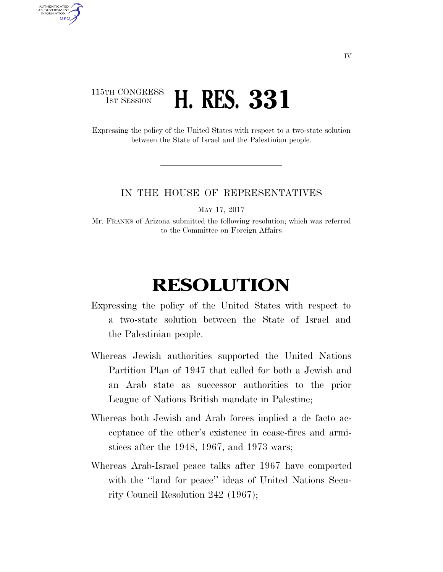## 115TH CONGRESS **1st Session <b>H. RES. 331**

AUTHENTICATED U.S. GOVERNMENT **GPO** 

> Expressing the policy of the United States with respect to a two-state solution between the State of Israel and the Palestinian people.

## IN THE HOUSE OF REPRESENTATIVES

MAY 17, 2017

Mr. FRANKS of Arizona submitted the following resolution; which was referred to the Committee on Foreign Affairs

## **RESOLUTION**

- Expressing the policy of the United States with respect to a two-state solution between the State of Israel and the Palestinian people.
- Whereas Jewish authorities supported the United Nations Partition Plan of 1947 that called for both a Jewish and an Arab state as successor authorities to the prior League of Nations British mandate in Palestine;
- Whereas both Jewish and Arab forces implied a de facto acceptance of the other's existence in cease-fires and armistices after the 1948, 1967, and 1973 wars;
- Whereas Arab-Israel peace talks after 1967 have comported with the "land for peace" ideas of United Nations Security Council Resolution 242 (1967);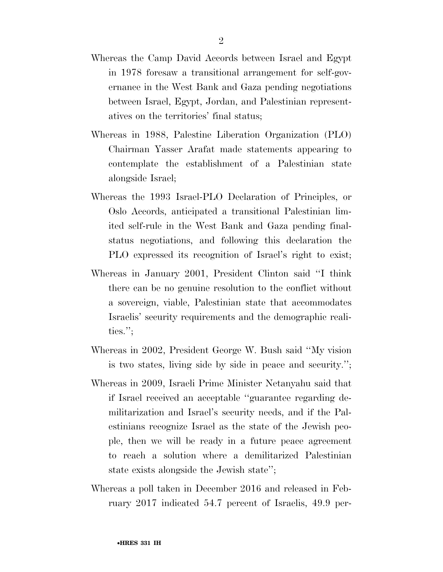- Whereas the Camp David Accords between Israel and Egypt in 1978 foresaw a transitional arrangement for self-governance in the West Bank and Gaza pending negotiations between Israel, Egypt, Jordan, and Palestinian representatives on the territories' final status;
- Whereas in 1988, Palestine Liberation Organization (PLO) Chairman Yasser Arafat made statements appearing to contemplate the establishment of a Palestinian state alongside Israel;
- Whereas the 1993 Israel-PLO Declaration of Principles, or Oslo Accords, anticipated a transitional Palestinian limited self-rule in the West Bank and Gaza pending finalstatus negotiations, and following this declaration the PLO expressed its recognition of Israel's right to exist;
- Whereas in January 2001, President Clinton said ''I think there can be no genuine resolution to the conflict without a sovereign, viable, Palestinian state that accommodates Israelis' security requirements and the demographic realities.'';
- Whereas in 2002, President George W. Bush said ''My vision is two states, living side by side in peace and security.'';
- Whereas in 2009, Israeli Prime Minister Netanyahu said that if Israel received an acceptable ''guarantee regarding demilitarization and Israel's security needs, and if the Palestinians recognize Israel as the state of the Jewish people, then we will be ready in a future peace agreement to reach a solution where a demilitarized Palestinian state exists alongside the Jewish state'';
- Whereas a poll taken in December 2016 and released in February 2017 indicated 54.7 percent of Israelis, 49.9 per-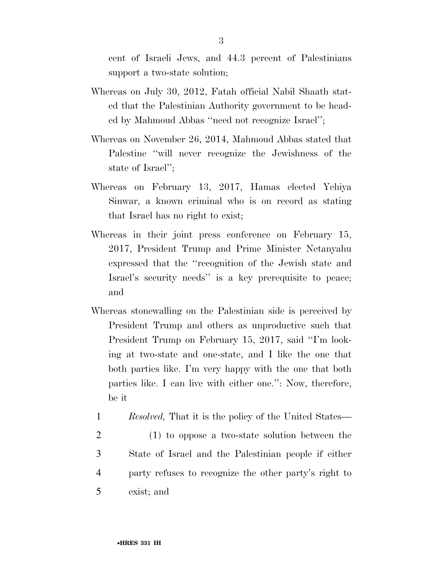cent of Israeli Jews, and 44.3 percent of Palestinians support a two-state solution;

- Whereas on July 30, 2012, Fatah official Nabil Shaath stated that the Palestinian Authority government to be headed by Mahmoud Abbas ''need not recognize Israel'';
- Whereas on November 26, 2014, Mahmoud Abbas stated that Palestine ''will never recognize the Jewishness of the state of Israel'';
- Whereas on February 13, 2017, Hamas elected Yehiya Sinwar, a known criminal who is on record as stating that Israel has no right to exist;
- Whereas in their joint press conference on February 15, 2017, President Trump and Prime Minister Netanyahu expressed that the ''recognition of the Jewish state and Israel's security needs'' is a key prerequisite to peace; and
- Whereas stonewalling on the Palestinian side is perceived by President Trump and others as unproductive such that President Trump on February 15, 2017, said "I'm looking at two-state and one-state, and I like the one that both parties like. I'm very happy with the one that both parties like. I can live with either one.'': Now, therefore, be it
	- 1 *Resolved,* That it is the policy of the United States—
- 2 (1) to oppose a two-state solution between the 3 State of Israel and the Palestinian people if either 4 party refuses to recognize the other party's right to 5 exist; and